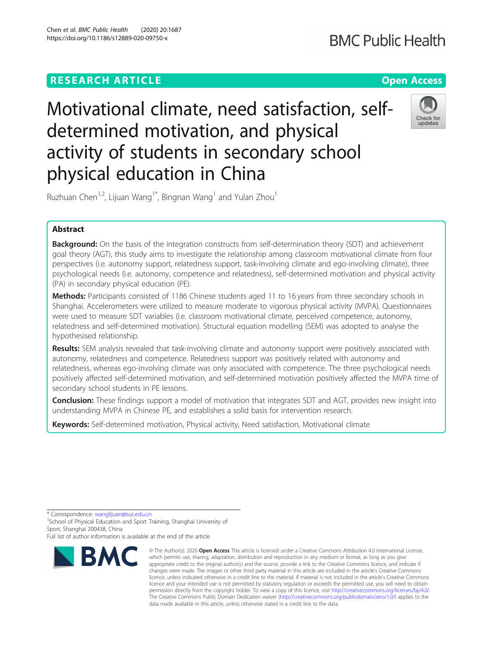# **RESEARCH ARTICLE Example 2014 12:30 The Contract of Contract ACCESS**

# Motivational climate, need satisfaction, selfdetermined motivation, and physical activity of students in secondary school physical education in China



Ruzhuan Chen<sup>1,2</sup>, Lijuan Wang<sup>1</sup>\*, Bingnan Wang<sup>1</sup> and Yulan Zhou<sup>1</sup>

# Abstract

Background: On the basis of the integration constructs from self-determination theory (SDT) and achievement goal theory (AGT), this study aims to investigate the relationship among classroom motivational climate from four perspectives (i.e. autonomy support, relatedness support, task-involving climate and ego-involving climate), three psychological needs (i.e. autonomy, competence and relatedness), self-determined motivation and physical activity (PA) in secondary physical education (PE).

Methods: Participants consisted of 1186 Chinese students aged 11 to 16 years from three secondary schools in Shanghai. Accelerometers were utilized to measure moderate to vigorous physical activity (MVPA). Questionnaires were used to measure SDT variables (i.e. classroom motivational climate, perceived competence, autonomy, relatedness and self-determined motivation). Structural equation modelling (SEM) was adopted to analyse the hypothesised relationship.

Results: SEM analysis revealed that task-involving climate and autonomy support were positively associated with autonomy, relatedness and competence. Relatedness support was positively related with autonomy and relatedness, whereas ego-involving climate was only associated with competence. The three psychological needs positively affected self-determined motivation, and self-determined motivation positively affected the MVPA time of secondary school students in PE lessons.

**Conclusion:** These findings support a model of motivation that integrates SDT and AGT, provides new insight into understanding MVPA in Chinese PE, and establishes a solid basis for intervention research.

Keywords: Self-determined motivation, Physical activity, Need satisfaction, Motivational climate

\* Correspondence: [wanglijuan@sus.edu.cn](mailto:wanglijuan@sus.edu.cn) <sup>1</sup>

<sup>1</sup>School of Physical Education and Sport Training, Shanghai University of Sport, Shanghai 200438, China

Full list of author information is available at the end of the article



<sup>©</sup> The Author(s), 2020 **Open Access** This article is licensed under a Creative Commons Attribution 4.0 International License, which permits use, sharing, adaptation, distribution and reproduction in any medium or format, as long as you give appropriate credit to the original author(s) and the source, provide a link to the Creative Commons licence, and indicate if changes were made. The images or other third party material in this article are included in the article's Creative Commons licence, unless indicated otherwise in a credit line to the material. If material is not included in the article's Creative Commons licence and your intended use is not permitted by statutory regulation or exceeds the permitted use, you will need to obtain permission directly from the copyright holder. To view a copy of this licence, visit [http://creativecommons.org/licenses/by/4.0/.](http://creativecommons.org/licenses/by/4.0/) The Creative Commons Public Domain Dedication waiver [\(http://creativecommons.org/publicdomain/zero/1.0/](http://creativecommons.org/publicdomain/zero/1.0/)) applies to the data made available in this article, unless otherwise stated in a credit line to the data.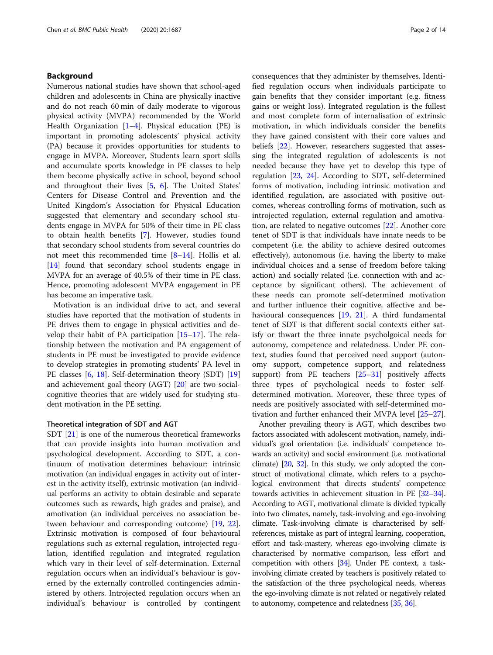# Background

Numerous national studies have shown that school-aged children and adolescents in China are physically inactive and do not reach 60 min of daily moderate to vigorous physical activity (MVPA) recommended by the World Health Organization  $[1-4]$  $[1-4]$  $[1-4]$  $[1-4]$ . Physical education (PE) is important in promoting adolescents' physical activity (PA) because it provides opportunities for students to engage in MVPA. Moreover, Students learn sport skills and accumulate sports knowledge in PE classes to help them become physically active in school, beyond school and throughout their lives [[5,](#page-11-0) [6](#page-11-0)]. The United States' Centers for Disease Control and Prevention and the United Kingdom's Association for Physical Education suggested that elementary and secondary school students engage in MVPA for 50% of their time in PE class to obtain health benefits [[7\]](#page-11-0). However, studies found that secondary school students from several countries do not meet this recommended time [\[8](#page-11-0)–[14](#page-11-0)]. Hollis et al. [[14\]](#page-11-0) found that secondary school students engage in MVPA for an average of 40.5% of their time in PE class. Hence, promoting adolescent MVPA engagement in PE has become an imperative task.

Motivation is an individual drive to act, and several studies have reported that the motivation of students in PE drives them to engage in physical activities and develop their habit of PA participation [\[15](#page-11-0)–[17\]](#page-11-0). The relationship between the motivation and PA engagement of students in PE must be investigated to provide evidence to develop strategies in promoting students' PA level in PE classes [[6,](#page-11-0) [18](#page-11-0)]. Self-determination theory (SDT) [[19](#page-12-0)] and achievement goal theory (AGT) [\[20](#page-12-0)] are two socialcognitive theories that are widely used for studying student motivation in the PE setting.

# Theoretical integration of SDT and AGT

SDT [[21](#page-12-0)] is one of the numerous theoretical frameworks that can provide insights into human motivation and psychological development. According to SDT, a continuum of motivation determines behaviour: intrinsic motivation (an individual engages in activity out of interest in the activity itself), extrinsic motivation (an individual performs an activity to obtain desirable and separate outcomes such as rewards, high grades and praise), and amotivation (an individual perceives no association between behaviour and corresponding outcome) [\[19,](#page-12-0) [22](#page-12-0)]. Extrinsic motivation is composed of four behavioural regulations such as external regulation, introjected regulation, identified regulation and integrated regulation which vary in their level of self-determination. External regulation occurs when an individual's behaviour is governed by the externally controlled contingencies administered by others. Introjected regulation occurs when an individual's behaviour is controlled by contingent consequences that they administer by themselves. Identified regulation occurs when individuals participate to gain benefits that they consider important (e.g. fitness gains or weight loss). Integrated regulation is the fullest and most complete form of internalisation of extrinsic motivation, in which individuals consider the benefits they have gained consistent with their core values and beliefs [[22\]](#page-12-0). However, researchers suggested that assessing the integrated regulation of adolescents is not needed because they have yet to develop this type of regulation [[23,](#page-12-0) [24\]](#page-12-0). According to SDT, self-determined forms of motivation, including intrinsic motivation and identified regulation, are associated with positive outcomes, whereas controlling forms of motivation, such as introjected regulation, external regulation and amotivation, are related to negative outcomes [[22\]](#page-12-0). Another core tenet of SDT is that individuals have innate needs to be competent (i.e. the ability to achieve desired outcomes effectively), autonomous (i.e. having the liberty to make individual choices and a sense of freedom before taking action) and socially related (i.e. connection with and acceptance by significant others). The achievement of these needs can promote self-determined motivation and further influence their cognitive, affective and behavioural consequences [\[19](#page-12-0), [21](#page-12-0)]. A third fundamental tenet of SDT is that different social contexts either satisfy or thwart the three innate psycholgoical needs for autonomy, competence and relatedness. Under PE context, studies found that perceived need support (autonomy support, competence support, and relatedness support) from PE teachers [[25](#page-12-0)–[31](#page-12-0)] positively affects three types of psychological needs to foster selfdetermined motivation. Moreover, these three types of needs are positively associated with self-determined motivation and further enhanced their MVPA level [[25](#page-12-0)–[27](#page-12-0)].

Another prevailing theory is AGT, which describes two factors associated with adolescent motivation, namely, individual's goal orientation (i.e. individuals' competence towards an activity) and social environment (i.e. motivational climate) [\[20](#page-12-0), [32\]](#page-12-0). In this study, we only adopted the construct of motivational climate, which refers to a psychological environment that directs students' competence towards activities in achievement situation in PE [\[32](#page-12-0)–[34](#page-12-0)]. According to AGT, motivational climate is divided typically into two climates, namely, task-involving and ego-involving climate. Task-involving climate is characterised by selfreferences, mistake as part of integral learning, cooperation, effort and task-mastery, whereas ego-involving climate is characterised by normative comparison, less effort and competition with others [[34\]](#page-12-0). Under PE context, a taskinvolving climate created by teachers is positively related to the satisfaction of the three psychological needs, whereas the ego-involving climate is not related or negatively related to autonomy, competence and relatedness [\[35,](#page-12-0) [36\]](#page-12-0).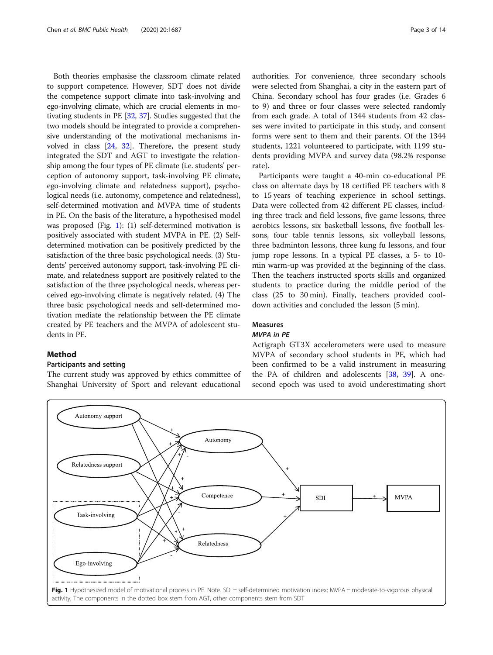<span id="page-2-0"></span>Both theories emphasise the classroom climate related to support competence. However, SDT does not divide the competence support climate into task-involving and ego-involving climate, which are crucial elements in motivating students in PE [\[32](#page-12-0), [37\]](#page-12-0). Studies suggested that the two models should be integrated to provide a comprehensive understanding of the motivational mechanisms involved in class [\[24](#page-12-0), [32\]](#page-12-0). Therefore, the present study integrated the SDT and AGT to investigate the relationship among the four types of PE climate (i.e. students' perception of autonomy support, task-involving PE climate, ego-involving climate and relatedness support), psychological needs (i.e. autonomy, competence and relatedness), self-determined motivation and MVPA time of students in PE. On the basis of the literature, a hypothesised model was proposed (Fig. 1): (1) self-determined motivation is positively associated with student MVPA in PE. (2) Selfdetermined motivation can be positively predicted by the satisfaction of the three basic psychological needs. (3) Students' perceived autonomy support, task-involving PE climate, and relatedness support are positively related to the satisfaction of the three psychological needs, whereas perceived ego-involving climate is negatively related. (4) The three basic psychological needs and self-determined motivation mediate the relationship between the PE climate created by PE teachers and the MVPA of adolescent students in PE.

# Method

# Participants and setting

The current study was approved by ethics committee of Shanghai University of Sport and relevant educational authorities. For convenience, three secondary schools were selected from Shanghai, a city in the eastern part of China. Secondary school has four grades (i.e. Grades 6 to 9) and three or four classes were selected randomly from each grade. A total of 1344 students from 42 classes were invited to participate in this study, and consent forms were sent to them and their parents. Of the 1344 students, 1221 volunteered to participate, with 1199 students providing MVPA and survey data (98.2% response rate).

Participants were taught a 40-min co-educational PE class on alternate days by 18 certified PE teachers with 8 to 15 years of teaching experience in school settings. Data were collected from 42 different PE classes, including three track and field lessons, five game lessons, three aerobics lessons, six basketball lessons, five football lessons, four table tennis lessons, six volleyball lessons, three badminton lessons, three kung fu lessons, and four jump rope lessons. In a typical PE classes, a 5- to 10 min warm-up was provided at the beginning of the class. Then the teachers instructed sports skills and organized students to practice during the middle period of the class (25 to 30 min). Finally, teachers provided cooldown activities and concluded the lesson (5 min).

# Measures

# MVPA in PE

Actigraph GT3X accelerometers were used to measure MVPA of secondary school students in PE, which had been confirmed to be a valid instrument in measuring the PA of children and adolescents [\[38](#page-12-0), [39\]](#page-12-0). A onesecond epoch was used to avoid underestimating short

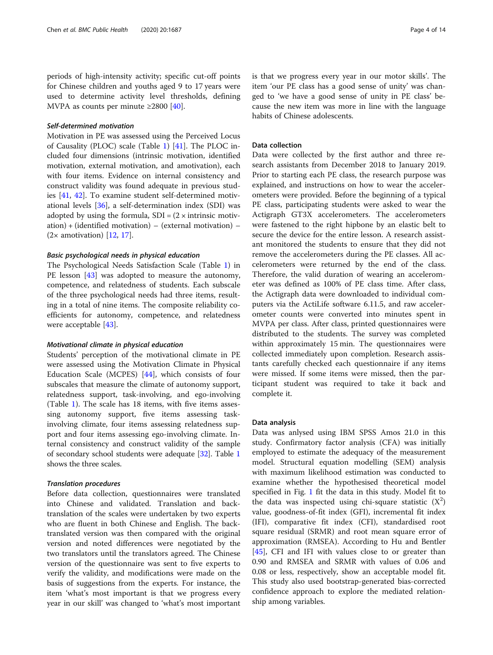periods of high-intensity activity; specific cut-off points for Chinese children and youths aged 9 to 17 years were used to determine activity level thresholds, defining MVPA as counts per minute  $\geq 2800$  [[40](#page-12-0)].

#### Self-determined motivation

Motivation in PE was assessed using the Perceived Locus of Causality (PLOC) scale (Table [1\)](#page-4-0) [[41](#page-12-0)]. The PLOC included four dimensions (intrinsic motivation, identified motivation, external motivation, and amotivation), each with four items. Evidence on internal consistency and construct validity was found adequate in previous studies [\[41](#page-12-0), [42\]](#page-12-0). To examine student self-determined motivational levels [\[36](#page-12-0)], a self-determination index (SDI) was adopted by using the formula,  $SDI = (2 \times inttrinsic$  motivation) + (identified motivation) – (external motivation) –  $(2 \times$  amotivation) [\[12](#page-11-0), [17](#page-11-0)].

## Basic psychological needs in physical education

The Psychological Needs Satisfaction Scale (Table [1](#page-4-0)) in PE lesson [[43\]](#page-12-0) was adopted to measure the autonomy, competence, and relatedness of students. Each subscale of the three psychological needs had three items, resulting in a total of nine items. The composite reliability coefficients for autonomy, competence, and relatedness were acceptable [[43](#page-12-0)].

#### Motivational climate in physical education

Students' perception of the motivational climate in PE were assessed using the Motivation Climate in Physical Education Scale (MCPES) [[44](#page-12-0)], which consists of four subscales that measure the climate of autonomy support, relatedness support, task-involving, and ego-involving (Table [1](#page-4-0)). The scale has 18 items, with five items assessing autonomy support, five items assessing taskinvolving climate, four items assessing relatedness support and four items assessing ego-involving climate. Internal consistency and construct validity of the sample of secondary school students were adequate [[32](#page-12-0)]. Table [1](#page-4-0) shows the three scales.

## Translation procedures

Before data collection, questionnaires were translated into Chinese and validated. Translation and backtranslation of the scales were undertaken by two experts who are fluent in both Chinese and English. The backtranslated version was then compared with the original version and noted differences were negotiated by the two translators until the translators agreed. The Chinese version of the questionnaire was sent to five experts to verify the validity, and modifications were made on the basis of suggestions from the experts. For instance, the item 'what's most important is that we progress every year in our skill' was changed to 'what's most important is that we progress every year in our motor skills'. The item 'our PE class has a good sense of unity' was changed to 'we have a good sense of unity in PE class' because the new item was more in line with the language habits of Chinese adolescents.

# Data collection

Data were collected by the first author and three research assistants from December 2018 to January 2019. Prior to starting each PE class, the research purpose was explained, and instructions on how to wear the accelerometers were provided. Before the beginning of a typical PE class, participating students were asked to wear the Actigraph GT3X accelerometers. The accelerometers were fastened to the right hipbone by an elastic belt to secure the device for the entire lesson. A research assistant monitored the students to ensure that they did not remove the accelerometers during the PE classes. All accelerometers were returned by the end of the class. Therefore, the valid duration of wearing an accelerometer was defined as 100% of PE class time. After class, the Actigraph data were downloaded to individual computers via the ActiLife software 6.11.5, and raw accelerometer counts were converted into minutes spent in MVPA per class. After class, printed questionnaires were distributed to the students. The survey was completed within approximately 15 min. The questionnaires were collected immediately upon completion. Research assistants carefully checked each questionnaire if any items were missed. If some items were missed, then the participant student was required to take it back and complete it.

#### Data analysis

Data was anlysed using IBM SPSS Amos 21.0 in this study. Confirmatory factor analysis (CFA) was initially employed to estimate the adequacy of the measurement model. Structural equation modelling (SEM) analysis with maximum likelihood estimation was conducted to examine whether the hypothesised theoretical model specified in Fig. [1](#page-2-0) fit the data in this study. Model fit to the data was inspected using chi-square statistic  $(X^2)$ value, goodness-of-fit index (GFI), incremental fit index (IFI), comparative fit index (CFI), standardised root square residual (SRMR) and root mean square error of approximation (RMSEA). According to Hu and Bentler [[45\]](#page-12-0), CFI and IFI with values close to or greater than 0.90 and RMSEA and SRMR with values of 0.06 and 0.08 or less, respectively, show an acceptable model fit. This study also used bootstrap-generated bias-corrected confidence approach to explore the mediated relationship among variables.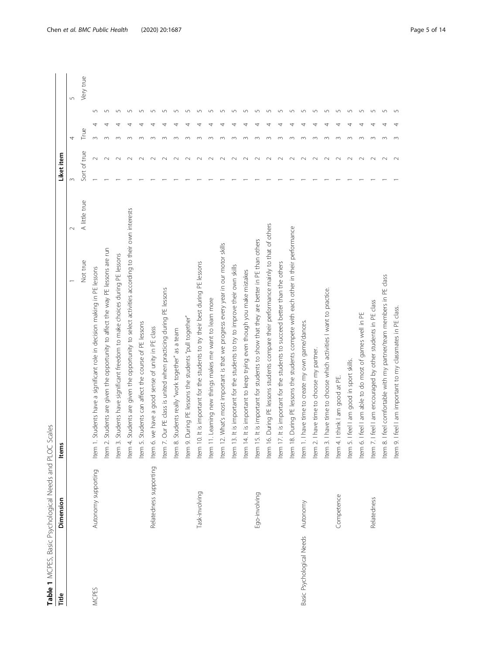|   |                               | ١<br>j |   |
|---|-------------------------------|--------|---|
|   | Ï<br>Ï                        | ١      |   |
|   | ţ                             | ١      |   |
|   | ί                             | ۱      |   |
|   |                               | ١      |   |
|   | l                             | Ī      |   |
|   | ł<br>Ï                        | ١      |   |
|   | ī                             | ١<br>i |   |
|   | I                             |        |   |
|   |                               |        |   |
|   | ł<br>I                        | í<br>J |   |
|   | j<br>$\overline{\phantom{a}}$ | Í<br>١ | J |
|   |                               |        |   |
|   |                               |        |   |
|   |                               | l      |   |
| I |                               | ١      |   |
|   | I                             | ١      |   |
|   |                               | ١      |   |
|   | Ó                             |        |   |
|   |                               |        |   |
|   | ļ<br>l                        | ١<br>Ī |   |
|   | ı                             | ١      |   |
|   |                               |        |   |
|   |                               |        |   |
|   |                               | ı      |   |
|   |                               |        |   |
|   |                               |        |   |
|   |                               |        |   |

<span id="page-4-0"></span>

| Table 1 MCPES, Basic Psychological Needs and PLOC |                        | Scales                                                                                             |              |        |          |   |           |
|---------------------------------------------------|------------------------|----------------------------------------------------------------------------------------------------|--------------|--------|----------|---|-----------|
| Title                                             | Dimension              | <b>Items</b>                                                                                       | Liket item   |        |          |   |           |
|                                                   |                        | $\sim$                                                                                             | 3            |        | 4        |   | 5         |
|                                                   |                        | A little true<br>Not true                                                                          | Sort of true |        | True     |   | Very true |
| <b>MCPES</b>                                      | Autonomy supporting    | Item 1. Students have a significant role in decision making in PE lessons                          |              | $\sim$ | $\sim$   | 5 |           |
|                                                   |                        | Item 2. Students are given the opportunity to affect the way PE lessons are run                    |              | $\sim$ | $\infty$ |   |           |
|                                                   |                        | 3. Students have significant freedom to make choices during PE lessons<br>tem                      |              |        |          |   |           |
|                                                   |                        | 4. Students are given the opportunity to select activities according to their own interests<br>tem |              |        |          |   |           |
|                                                   |                        | 5. Students can affect the course of PE lessons<br>ltem                                            |              |        |          |   |           |
|                                                   | Relatedness supporting | 6. we have a good sense of unity in PE class<br>ltem                                               |              |        |          |   |           |
|                                                   |                        | 7. Our PE class is united when practicing during PE lessons<br>tem                                 |              |        |          |   |           |
|                                                   |                        | 8. Students really "work together" as a team<br>tem                                                |              |        |          |   |           |
|                                                   |                        | 9. During PE lessons the students "pull together"<br>tem                                           |              |        |          |   |           |
|                                                   | Task-involving         | 10. It is important for the students to try their best during PE lessons<br>Item                   |              |        |          |   |           |
|                                                   |                        | 11. Learning new things makes me want to learn more<br>tem                                         |              |        |          |   |           |
|                                                   |                        | 12. What's most important is that we progress every year in our motor skills<br>ltem               |              |        |          |   |           |
|                                                   |                        | 13. It is important for the students to try to improve their own skills<br>tem                     |              |        |          |   |           |
|                                                   |                        | 14. It is important to keep trying even though you make mistakes<br>tem                            |              |        |          |   |           |
|                                                   | Ego-involving          | 15. It is important for students to show that they are better in PE than others<br>ltem            |              |        |          |   |           |
|                                                   |                        | 16. During PE lessons students compare their performance mainly to that of others<br>tem           |              |        |          |   |           |
|                                                   |                        | 17. It is important for the students to succeed better than the others<br>ltem                     |              |        |          |   |           |
|                                                   |                        | 18. During PE lessons the students compete with each other in their performance<br>tem             |              |        |          |   |           |
| Basic Psychological Needs                         | Autonomy               | 1. I have time to create my own game/dances<br>ltem                                                |              |        |          |   |           |
|                                                   |                        | 2. I have time to choose my partner.<br>tem                                                        |              |        |          |   |           |
|                                                   |                        | Item 3. I have time to choose which activities I want to practice.                                 |              |        |          |   |           |
|                                                   | Competence             | 4.1 think I am good at PE.<br>ltem                                                                 |              |        |          |   |           |
|                                                   |                        | 5. I feel I am good in sport skills.<br>ltem                                                       |              |        |          |   |           |
|                                                   |                        | 6. I feel I am able to do most of games well in PE<br>Item                                         |              |        |          |   |           |
|                                                   | Relatedness            | 7. I feel I am encouraged by other students in PE class<br>ltem                                    |              |        |          |   |           |
|                                                   |                        | 8. I feel comfortable with my partner/team members in PE class<br>ltem                             |              |        |          |   |           |
|                                                   |                        | 9. I feel I am important to my classmates in PE class<br>tem                                       |              |        |          |   |           |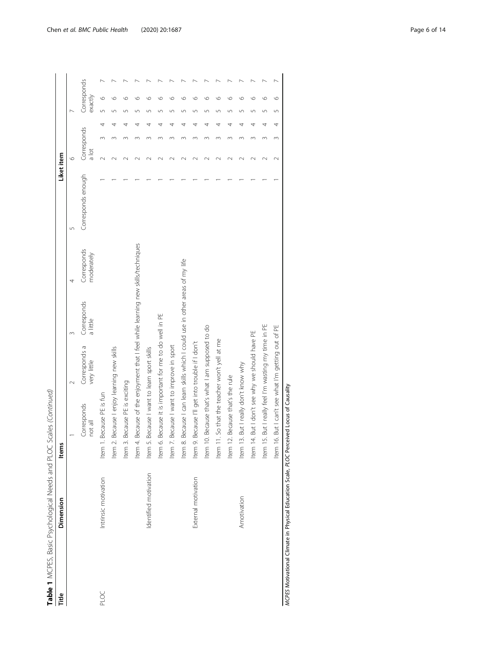|                                                            | tems     |  |
|------------------------------------------------------------|----------|--|
| MCPES, Basic Psychological Needs and PLOC Scales (Continue | imension |  |
| Table.                                                     |          |  |

| Title | Dimension             | <b>Items</b>                                                                      |                              |                         |                           |                    | Liket item |                      |        |   |                        |  |
|-------|-----------------------|-----------------------------------------------------------------------------------|------------------------------|-------------------------|---------------------------|--------------------|------------|----------------------|--------|---|------------------------|--|
|       |                       |                                                                                   | $\sim$                       |                         | 4                         | 5                  |            | $\circ$              |        |   |                        |  |
|       |                       | Corresponds<br>not all                                                            | Corresponds a<br>very little | Corresponds<br>a little | Corresponds<br>moderately | Corresponds enough |            | Corresponds<br>a lot |        |   | Corresponds<br>exactly |  |
| PLOC  | Intrinsic motivation  | Item 1. Because PE is fun                                                         |                              |                         |                           |                    |            | $\sim$               | 4<br>m | 5 | $\circ$                |  |
|       |                       | 2. Because I enjoy learning new skills<br>ltem                                    |                              |                         |                           |                    |            |                      | 4<br>m | 5 | ७                      |  |
|       |                       | 3. Because PE is exciting<br>ltem                                                 |                              |                         |                           |                    |            |                      | 4<br>M | س | ७                      |  |
|       |                       | Item 4. Because of the enjoyment that I feel while learning new skills/techniques |                              |                         |                           |                    |            |                      | ₹<br>M |   | ७                      |  |
|       | Identified motivation | 5. Because I want to learn sport skills<br>Item                                   |                              |                         |                           |                    |            |                      |        |   | ⊙                      |  |
|       |                       | 6. Because it is important for me to do well in PE<br>ltem                        |                              |                         |                           |                    |            |                      |        |   | ١C                     |  |
|       |                       | Item 7. Because I want to improve in sport                                        |                              |                         |                           |                    |            |                      |        |   | ⊙                      |  |
|       |                       | 8. Because I can learn skills which I could use in other areas of my life<br>ltem |                              |                         |                           |                    |            |                      |        |   | ∘                      |  |
|       | External motivation   | 9. Because I'll get into trouble if I don't<br>Item                               |                              |                         |                           |                    |            |                      |        |   | ١C                     |  |
|       |                       | Item 10. Because that's what I am supposed to do                                  |                              |                         |                           |                    |            |                      |        |   | ١C                     |  |
|       |                       | Item 11. So that the teacher won't yell at me                                     |                              |                         |                           |                    |            |                      |        |   | ৩                      |  |
|       |                       | Item 12. Because that's the rule                                                  |                              |                         |                           |                    |            |                      | 4      | " | ١C                     |  |
|       | Amotivation           | Item 13. But I really don't know why                                              |                              |                         |                           |                    |            |                      | 4<br>∼ | ٢ | ७                      |  |
|       |                       | Item 14. But I don't see why we should have PE                                    |                              |                         |                           |                    |            |                      | ₹<br>m | س | ७                      |  |
|       |                       | Item 15. But I really feel I'm wasting my time in PE                              |                              |                         |                           |                    |            |                      | 4<br>m | 5 | ७                      |  |
|       |                       | Item 16. But I can't see what I'm getting out of PE                               |                              |                         |                           |                    |            | $\sim$               | 4<br>3 | 5 | $\circ$                |  |
|       |                       |                                                                                   |                              |                         |                           |                    |            |                      |        |   |                        |  |

MCPES Motivational Climate in Physical Education Scale, PLOC Perceived Locus of Causality MCPES Motivational Climate in Physical Education Scale, PLOC Perceived Locus of Causality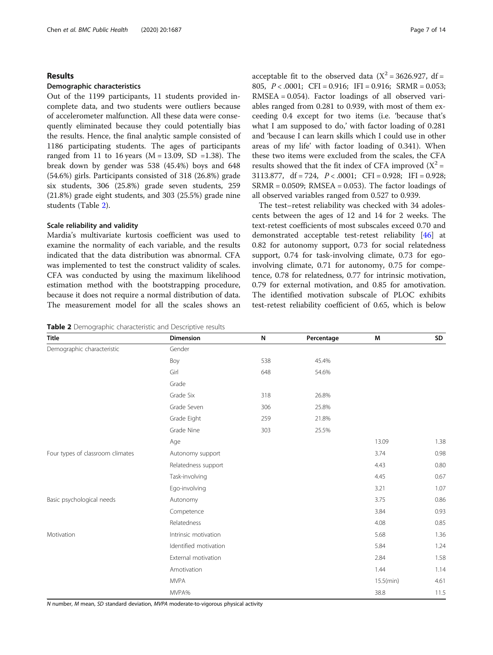# <span id="page-6-0"></span>Results

# Demographic characteristics

Out of the 1199 participants, 11 students provided incomplete data, and two students were outliers because of accelerometer malfunction. All these data were consequently eliminated because they could potentially bias the results. Hence, the final analytic sample consisted of 1186 participating students. The ages of participants ranged from 11 to 16 years ( $M = 13.09$ , SD = 1.38). The break down by gender was 538 (45.4%) boys and 648 (54.6%) girls. Participants consisted of 318 (26.8%) grade six students, 306 (25.8%) grade seven students, 259 (21.8%) grade eight students, and 303 (25.5%) grade nine students (Table 2).

# Scale reliability and validity

Mardia's multivariate kurtosis coefficient was used to examine the normality of each variable, and the results indicated that the data distribution was abnormal. CFA was implemented to test the construct validity of scales. CFA was conducted by using the maximum likelihood estimation method with the bootstrapping procedure, because it does not require a normal distribution of data. The measurement model for all the scales shows an

**Table 2** Demographic characteristic and Descriptive results

| Page 7 of 14 |  |  |  |
|--------------|--|--|--|
|--------------|--|--|--|

acceptable fit to the observed data ( $X^2 = 3626.927$ , df = 805,  $P < .0001$ ; CFI = 0.916; IFI = 0.916; SRMR = 0.053; RMSEA = 0.054). Factor loadings of all observed variables ranged from 0.281 to 0.939, with most of them exceeding 0.4 except for two items (i.e. 'because that's what I am supposed to do,' with factor loading of 0.281 and 'because I can learn skills which I could use in other areas of my life' with factor loading of 0.341). When these two items were excluded from the scales, the CFA results showed that the fit index of CFA improved  $(X^2 =$ 3113.877,  $df = 724$ ,  $P < .0001$ ;  $CFI = 0.928$ ;  $IFI = 0.928$ ;  $SRMR = 0.0509$ ;  $RMSEA = 0.053$ ). The factor loadings of all observed variables ranged from 0.527 to 0.939.

The test–retest reliability was checked with 34 adolescents between the ages of 12 and 14 for 2 weeks. The text-retest coefficients of most subscales exceed 0.70 and demonstrated acceptable test-retest reliability [\[46](#page-12-0)] at 0.82 for autonomy support, 0.73 for social relatedness support, 0.74 for task-involving climate, 0.73 for egoinvolving climate, 0.71 for autonomy, 0.75 for competence, 0.78 for relatedness, 0.77 for intrinsic motivation, 0.79 for external motivation, and 0.85 for amotivation. The identified motivation subscale of PLOC exhibits test-retest reliability coefficient of 0.65, which is below

| <b>Title</b>                     | Dimension             | N   | Percentage | M            | SD   |
|----------------------------------|-----------------------|-----|------------|--------------|------|
| Demographic characteristic       | Gender                |     |            |              |      |
|                                  | Boy                   | 538 | 45.4%      |              |      |
|                                  | Girl                  | 648 | 54.6%      |              |      |
|                                  | Grade                 |     |            |              |      |
|                                  | Grade Six             | 318 | 26.8%      |              |      |
|                                  | Grade Seven           | 306 | 25.8%      |              |      |
|                                  | Grade Eight           | 259 | 21.8%      |              |      |
|                                  | Grade Nine            | 303 | 25.5%      |              |      |
|                                  | Age                   |     |            | 13.09        | 1.38 |
| Four types of classroom climates | Autonomy support      |     |            | 3.74         | 0.98 |
|                                  | Relatedness support   |     |            | 4.43         | 0.80 |
|                                  | Task-involving        |     |            | 4.45         | 0.67 |
|                                  | Ego-involving         |     |            | 3.21         | 1.07 |
| Basic psychological needs        | Autonomy              |     |            | 3.75         | 0.86 |
|                                  | Competence            |     |            | 3.84         | 0.93 |
|                                  | Relatedness           |     |            | 4.08         | 0.85 |
| Motivation                       | Intrinsic motivation  |     |            | 5.68         | 1.36 |
|                                  | Identified motivation |     |            | 5.84         | 1.24 |
|                                  | External motivation   |     |            | 2.84         | 1.58 |
|                                  | Amotivation           |     |            | 1.44         | 1.14 |
|                                  | <b>MVPA</b>           |     |            | $15.5$ (min) | 4.61 |
|                                  | MVPA%                 |     |            | 38.8         | 11.5 |

N number, M mean, SD standard deviation, MVPA moderate-to-vigorous physical activity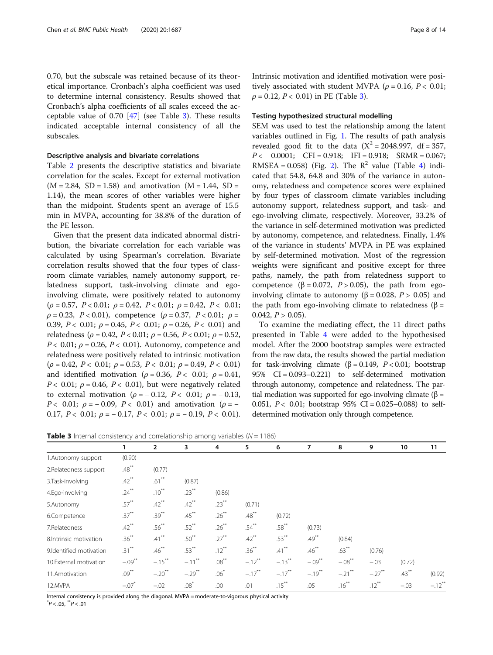0.70, but the subscale was retained because of its theoretical importance. Cronbach's alpha coefficient was used to determine internal consistency. Results showed that Cronbach's alpha coefficients of all scales exceed the acceptable value of 0.70 [\[47](#page-12-0)] (see Table 3). These results indicated acceptable internal consistency of all the subscales.

#### Descriptive analysis and bivariate correlations

Table [2](#page-6-0) presents the descriptive statistics and bivariate correlation for the scales. Except for external motivation  $(M = 2.84, SD = 1.58)$  and amotivation  $(M = 1.44, SD =$ 1.14), the mean scores of other variables were higher than the midpoint. Students spent an average of 15.5 min in MVPA, accounting for 38.8% of the duration of the PE lesson.

Given that the present data indicated abnormal distribution, the bivariate correlation for each variable was calculated by using Spearman's correlation. Bivariate correlation results showed that the four types of classroom climate variables, namely autonomy support, relatedness support, task-involving climate and egoinvolving climate, were positively related to autonomy  $(\rho = 0.57, P < 0.01; \rho = 0.42, P < 0.01; \rho = 0.42, P < 0.01;$  $ρ = 0.23, P < 0.01$ , competence ( $ρ = 0.37, P < 0.01; ρ =$ 0.39,  $P < 0.01$ ;  $\rho = 0.45$ ,  $P < 0.01$ ;  $\rho = 0.26$ ,  $P < 0.01$ ) and relatedness ( $\rho = 0.42$ ,  $P < 0.01$ ;  $\rho = 0.56$ ,  $P < 0.01$ ;  $\rho = 0.52$ ,  $P < 0.01$ ;  $\rho = 0.26$ ,  $P < 0.01$ ). Autonomy, competence and relatedness were positively related to intrinsic motivation  $(\rho = 0.42, P < 0.01; \rho = 0.53, P < 0.01; \rho = 0.49, P < 0.01)$ and identified motivation ( $\rho = 0.36$ ,  $P < 0.01$ ;  $\rho = 0.41$ ,  $P < 0.01$ ;  $\rho = 0.46$ ,  $P < 0.01$ ), but were negatively related to external motivation ( $\rho = -0.12$ ,  $P < 0.01$ ;  $\rho = -0.13$ , P < 0.01;  $ρ = -0.09$ , P < 0.01) and amotivation ( $ρ = -$ 0.17,  $P < 0.01$ ;  $\rho = -0.17$ ,  $P < 0.01$ ;  $\rho = -0.19$ ,  $P < 0.01$ ). Intrinsic motivation and identified motivation were positively associated with student MVPA ( $\rho = 0.16$ ,  $P < 0.01$ ;  $\rho = 0.12$ ,  $P < 0.01$ ) in PE (Table 3).

# Testing hypothesized structural modelling

SEM was used to test the relationship among the latent variables outlined in Fig. [1.](#page-2-0) The results of path analysis revealed good fit to the data  $(X^2 = 2048.997, df = 357,$  $P < 0.0001$ ; CFI = 0.918; IFI = 0.918; SRMR = 0.067; RMSEA = 0.058) (Fig. [2\)](#page-8-0). The  $R^2$  value (Table [4](#page-8-0)) indicated that 54.8, 64.8 and 30% of the variance in autonomy, relatedness and competence scores were explained by four types of classroom climate variables including autonomy support, relatedness support, and task- and ego-involving climate, respectively. Moreover, 33.2% of the variance in self-determined motivation was predicted by autonomy, competence, and relatedness. Finally, 1.4% of the variance in students' MVPA in PE was explained by self-determined motivation. Most of the regression weights were significant and positive except for three paths, namely, the path from relatedness support to competence  $(\beta = 0.072, P > 0.05)$ , the path from egoinvolving climate to autonomy ( $\beta$  = 0.028, P > 0.05) and the path from ego-involving climate to relatedness (β = 0.042,  $P > 0.05$ ).

To examine the mediating effect, the 11 direct paths presented in Table [4](#page-8-0) were added to the hypothesised model. After the 2000 bootstrap samples were extracted from the raw data, the results showed the partial mediation for task-involving climate ( $\beta = 0.149$ ,  $P < 0.01$ ; bootstrap 95% CI = 0.093–0.221) to self-determined motivation through autonomy, competence and relatedness. The partial mediation was supported for ego-involving climate (β = 0.051,  $P < 0.01$ ; bootstrap 95% CI = 0.025–0.088) to selfdetermined motivation only through competence.

**Table 3** Internal consistency and correlationship among variables ( $N = 1186$ )

|                         | $\overline{\phantom{a}}$ |                      |                      | $\tilde{\phantom{a}}$ |                      |                      |                      |                      |                     |          |                      |
|-------------------------|--------------------------|----------------------|----------------------|-----------------------|----------------------|----------------------|----------------------|----------------------|---------------------|----------|----------------------|
|                         |                          | 2                    | 3                    | 4                     | 5                    | 6                    | 7                    | 8                    | 9                   | 10       | 11                   |
| 1.Autonomy support      | (0.90)                   |                      |                      |                       |                      |                      |                      |                      |                     |          |                      |
| 2.Relatedness support   | $.48^{**}$               | (0.77)               |                      |                       |                      |                      |                      |                      |                     |          |                      |
| 3. Task-involving       | $.42***$                 | $.61***$             | (0.87)               |                       |                      |                      |                      |                      |                     |          |                      |
| 4.Ego-involving         | $.24***$                 | $.10***$             | $.23***$             | (0.86)                |                      |                      |                      |                      |                     |          |                      |
| 5.Autonomy              | $.57***$                 | $.42***$             | $.42***$             | $.23***$              | (0.71)               |                      |                      |                      |                     |          |                      |
| 6.Competence            | $.37***$                 | $.39***$             | $.45***$             | $.26***$              | $.48***$             | (0.72)               |                      |                      |                     |          |                      |
| 7.Relatedness           | $.42$ <sup>**</sup>      | $.56***$             | $.52***$             | $.26***$              | $.54***$             | $.58***$             | (0.73)               |                      |                     |          |                      |
| 8.Intrinsic motivation  | $.36***$                 | $.41***$             | $.50***$             | $.27***$              | $.42***$             | $.53***$             | $.49***$             | (0.84)               |                     |          |                      |
| 9.Identified motivation | $.31***$                 | $.46***$             | $.53***$             | $.12***$              | $.36***$             | $.41$ <sup>**</sup>  | $.46***$             | $.63***$             | (0.76)              |          |                      |
| 10.External motivation  | $-.09***$                | $-.15$ <sup>**</sup> | $-.11$ <sup>**</sup> | $.08***$              | $-.12$ <sup>**</sup> | $-.13$ <sup>**</sup> | $-.09$ <sup>**</sup> | $-.08$ <sup>**</sup> | $-.03$              | (0.72)   |                      |
| 11.Amotivation          | $.09***$                 | $-.20$ <sup>**</sup> | $-.29***$            | $.06*$                | $-.17***$            | $-.17***$            | $-.19***$            | $-.21$ <sup>**</sup> | $-27$ <sup>**</sup> | $.43***$ | (0.92)               |
| 12.MVPA                 | $-07$ <sup>*</sup>       | $-.02$               | .08 <sup>1</sup>     | .00                   | .01                  | $.15***$             | .05                  | $.16***$             | $.12***$            | $-.03$   | $-.12$ <sup>**</sup> |

Internal consistency is provided along the diagonal. MVPA = moderate-to-vigorous physical activity

 $*P < .05, **P < .01$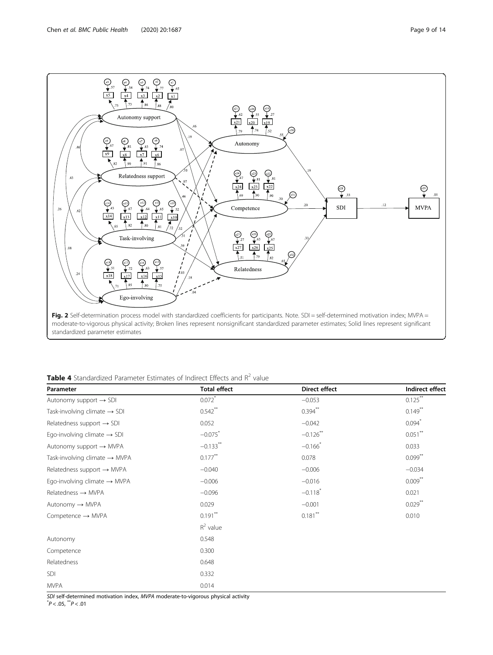<span id="page-8-0"></span>

**Table 4** Standardized Parameter Estimates of Indirect Effects and  $R^2$  value

| Parameter                                 | <b>Total effect</b>   | <b>Direct effect</b>   | Indirect effect      |
|-------------------------------------------|-----------------------|------------------------|----------------------|
| Autonomy support $\rightarrow$ SDI        | $0.072$ <sup>*</sup>  | $-0.053$               | $0.125***$           |
| Task-involving climate $\rightarrow$ SDI  | $0.542$ **            | $0.394$ **             | $0.149$ **           |
| Relatedness support $\rightarrow$ SDI     | 0.052                 | $-0.042$               | $0.094$ <sup>*</sup> |
| Ego-involving climate $\rightarrow$ SDI   | $-0.075$ <sup>*</sup> | $-0.126$ <sup>**</sup> | $0.051***$           |
| Autonomy support $\rightarrow$ MVPA       | $-0.133***$           | $-0.166$               | 0.033                |
| Task-involving climate $\rightarrow$ MVPA | $0.177$ <sup>**</sup> | 0.078                  | $0.099***$           |
| Relatedness support $\rightarrow$ MVPA    | $-0.040$              | $-0.006$               | $-0.034$             |
| Ego-involving climate $\rightarrow$ MVPA  | $-0.006$              | $-0.016$               | $0.009$ **           |
| $Relatedness \rightarrow MVPA$            | $-0.096$              | $-0.118$ <sup>*</sup>  | 0.021                |
| Autonomy $\rightarrow$ MVPA               | 0.029                 | $-0.001$               | $0.029$ **           |
| Competence $\rightarrow$ MVPA             | $0.191**$             | $0.181$ **             | 0.010                |
|                                           | $R^2$ value           |                        |                      |
| Autonomy                                  | 0.548                 |                        |                      |
| Competence                                | 0.300                 |                        |                      |
| Relatedness                               | 0.648                 |                        |                      |
| SDI                                       | 0.332                 |                        |                      |
| <b>MVPA</b>                               | 0.014                 |                        |                      |

SDI self-determined motivation index, MVPA moderate-to-vigorous physical activity \*

 $^*P < .05, ^{**}P < .01$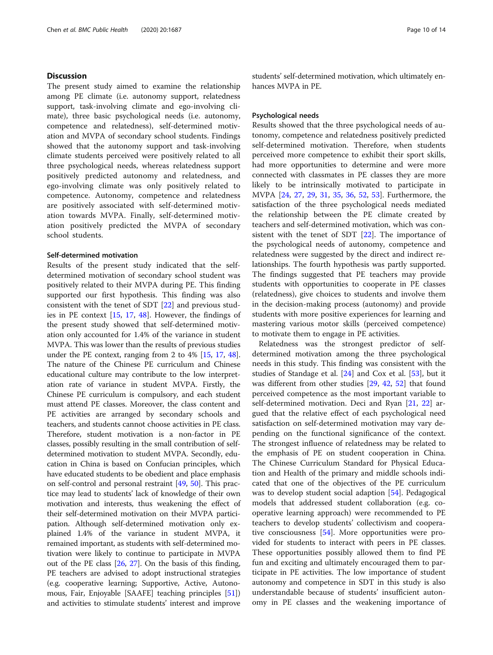# **Discussion**

The present study aimed to examine the relationship among PE climate (i.e. autonomy support, relatedness support, task-involving climate and ego-involving climate), three basic psychological needs (i.e. autonomy, competence and relatedness), self-determined motivation and MVPA of secondary school students. Findings showed that the autonomy support and task-involving climate students perceived were positively related to all three psychological needs, whereas relatedness support positively predicted autonomy and relatedness, and ego-involving climate was only positively related to competence. Autonomy, competence and relatedness are positively associated with self-determined motivation towards MVPA. Finally, self-determined motivation positively predicted the MVPA of secondary school students.

### Self-determined motivation

Results of the present study indicated that the selfdetermined motivation of secondary school student was positively related to their MVPA during PE. This finding supported our first hypothesis. This finding was also consistent with the tenet of SDT [[22](#page-12-0)] and previous studies in PE context [[15,](#page-11-0) [17,](#page-11-0) [48](#page-12-0)]. However, the findings of the present study showed that self-determined motivation only accounted for 1.4% of the variance in student MVPA. This was lower than the results of previous studies under the PE context, ranging from 2 to 4% [\[15,](#page-11-0) [17](#page-11-0), [48](#page-12-0)]. The nature of the Chinese PE curriculum and Chinese educational culture may contribute to the low interpretation rate of variance in student MVPA. Firstly, the Chinese PE curriculum is compulsory, and each student must attend PE classes. Moreover, the class content and PE activities are arranged by secondary schools and teachers, and students cannot choose activities in PE class. Therefore, student motivation is a non-factor in PE classes, possibly resulting in the small contribution of selfdetermined motivation to student MVPA. Secondly, education in China is based on Confucian principles, which have educated students to be obedient and place emphasis on self-control and personal restraint [\[49,](#page-12-0) [50\]](#page-12-0). This practice may lead to students' lack of knowledge of their own motivation and interests, thus weakening the effect of their self-determined motivation on their MVPA participation. Although self-determined motivation only explained 1.4% of the variance in student MVPA, it remained important, as students with self-determined motivation were likely to continue to participate in MVPA out of the PE class [\[26,](#page-12-0) [27](#page-12-0)]. On the basis of this finding, PE teachers are advised to adopt instructional strategies (e.g. cooperative learning; Supportive, Active, Autonomous, Fair, Enjoyable [SAAFE] teaching principles [[51](#page-12-0)]) and activities to stimulate students' interest and improve students' self-determined motivation, which ultimately enhances MVPA in PE.

### Psychological needs

Results showed that the three psychological needs of autonomy, competence and relatedness positively predicted self-determined motivation. Therefore, when students perceived more competence to exhibit their sport skills, had more opportunities to determine and were more connected with classmates in PE classes they are more likely to be intrinsically motivated to participate in MVPA [[24,](#page-12-0) [27](#page-12-0), [29,](#page-12-0) [31,](#page-12-0) [35](#page-12-0), [36,](#page-12-0) [52](#page-12-0), [53\]](#page-12-0). Furthermore, the satisfaction of the three psychological needs mediated the relationship between the PE climate created by teachers and self-determined motivation, which was consistent with the tenet of SDT [\[22](#page-12-0)]. The importance of the psychological needs of autonomy, competence and relatedness were suggested by the direct and indirect relationships. The fourth hypothesis was partly supported. The findings suggested that PE teachers may provide students with opportunities to cooperate in PE classes (relatedness), give choices to students and involve them in the decision-making process (autonomy) and provide students with more positive experiences for learning and mastering various motor skills (perceived competence) to motivate them to engage in PE activities.

Relatedness was the strongest predictor of selfdetermined motivation among the three psychological needs in this study. This finding was consistent with the studies of Standage et al. [\[24\]](#page-12-0) and Cox et al. [\[53\]](#page-12-0), but it was different from other studies [\[29](#page-12-0), [42,](#page-12-0) [52\]](#page-12-0) that found perceived competence as the most important variable to self-determined motivation. Deci and Ryan [\[21](#page-12-0), [22](#page-12-0)] argued that the relative effect of each psychological need satisfaction on self-determined motivation may vary depending on the functional significance of the context. The strongest influence of relatedness may be related to the emphasis of PE on student cooperation in China. The Chinese Curriculum Standard for Physical Education and Health of the primary and middle schools indicated that one of the objectives of the PE curriculum was to develop student social adaption [\[54\]](#page-12-0). Pedagogical models that addressed student collaboration (e.g. cooperative learning approach) were recommended to PE teachers to develop students' collectivism and cooperative consciousness [[54\]](#page-12-0). More opportunities were provided for students to interact with peers in PE classes. These opportunities possibly allowed them to find PE fun and exciting and ultimately encouraged them to participate in PE activities. The low importance of student autonomy and competence in SDT in this study is also understandable because of students' insufficient autonomy in PE classes and the weakening importance of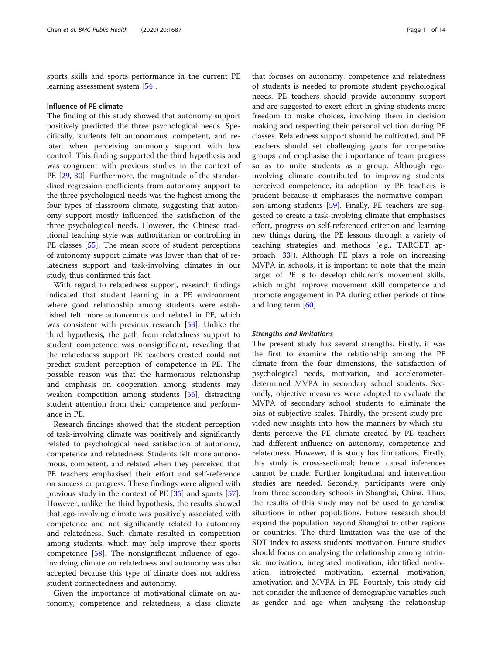sports skills and sports performance in the current PE learning assessment system [[54](#page-12-0)].

### Influence of PE climate

The finding of this study showed that autonomy support positively predicted the three psychological needs. Specifically, students felt autonomous, competent, and related when perceiving autonomy support with low control. This finding supported the third hypothesis and was congruent with previous studies in the context of PE [\[29](#page-12-0), [30\]](#page-12-0). Furthermore, the magnitude of the standardised regression coefficients from autonomy support to the three psychological needs was the highest among the four types of classroom climate, suggesting that autonomy support mostly influenced the satisfaction of the three psychological needs. However, the Chinese traditional teaching style was authoritarian or controlling in PE classes [[55\]](#page-12-0). The mean score of student perceptions of autonomy support climate was lower than that of relatedness support and task-involving climates in our study, thus confirmed this fact.

With regard to relatedness support, research findings indicated that student learning in a PE environment where good relationship among students were established felt more autonomous and related in PE, which was consistent with previous research [\[53\]](#page-12-0). Unlike the third hypothesis, the path from relatedness support to student competence was nonsignificant, revealing that the relatedness support PE teachers created could not predict student perception of competence in PE. The possible reason was that the harmonious relationship and emphasis on cooperation among students may weaken competition among students [\[56](#page-12-0)], distracting student attention from their competence and performance in PE.

Research findings showed that the student perception of task-involving climate was positively and significantly related to psychological need satisfaction of autonomy, competence and relatedness. Students felt more autonomous, competent, and related when they perceived that PE teachers emphasised their effort and self-reference on success or progress. These findings were aligned with previous study in the context of PE [[35](#page-12-0)] and sports [\[57](#page-12-0)]. However, unlike the third hypothesis, the results showed that ego-involving climate was positively associated with competence and not significantly related to autonomy and relatedness. Such climate resulted in competition among students, which may help improve their sports competence [[58\]](#page-12-0). The nonsignificant influence of egoinvolving climate on relatedness and autonomy was also accepted because this type of climate does not address student connectedness and autonomy.

Given the importance of motivational climate on autonomy, competence and relatedness, a class climate

that focuses on autonomy, competence and relatedness of students is needed to promote student psychological needs. PE teachers should provide autonomy support and are suggested to exert effort in giving students more freedom to make choices, involving them in decision making and respecting their personal volition during PE classes. Relatedness support should be cultivated, and PE teachers should set challenging goals for cooperative groups and emphasise the importance of team progress so as to unite students as a group. Although egoinvolving climate contributed to improving students' perceived competence, its adoption by PE teachers is prudent because it emphasises the normative comparison among students [[59](#page-12-0)]. Finally, PE teachers are suggested to create a task-involving climate that emphasises effort, progress on self-referenced criterion and learning new things during the PE lessons through a variety of teaching strategies and methods (e.g., TARGET approach [\[33](#page-12-0)]). Although PE plays a role on increasing MVPA in schools, it is important to note that the main target of PE is to develop children's movement skills, which might improve movement skill competence and promote engagement in PA during other periods of time and long term [[60\]](#page-13-0).

# Strengths and limitations

The present study has several strengths. Firstly, it was the first to examine the relationship among the PE climate from the four dimensions, the satisfaction of psychological needs, motivation, and accelerometerdetermined MVPA in secondary school students. Secondly, objective measures were adopted to evaluate the MVPA of secondary school students to eliminate the bias of subjective scales. Thirdly, the present study provided new insights into how the manners by which students perceive the PE climate created by PE teachers had different influence on autonomy, competence and relatedness. However, this study has limitations. Firstly, this study is cross-sectional; hence, causal inferences cannot be made. Further longitudinal and intervention studies are needed. Secondly, participants were only from three secondary schools in Shanghai, China. Thus, the results of this study may not be used to generalise situations in other populations. Future research should expand the population beyond Shanghai to other regions or countries. The third limitation was the use of the SDT index to assess students' motivation. Future studies should focus on analysing the relationship among intrinsic motivation, integrated motivation, identified motivation, introjected motivation, external motivation, amotivation and MVPA in PE. Fourthly, this study did not consider the influence of demographic variables such as gender and age when analysing the relationship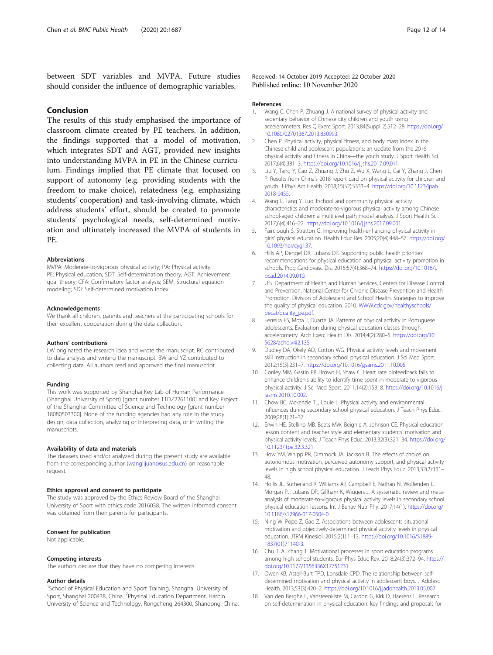<span id="page-11-0"></span>between SDT variables and MVPA. Future studies should consider the influence of demographic variables.

# Conclusion

The results of this study emphasised the importance of classroom climate created by PE teachers. In addition, the findings supported that a model of motivation, which integrates SDT and AGT, provided new insights into understanding MVPA in PE in the Chinese curriculum. Findings implied that PE climate that focused on support of autonomy (e.g. providing students with the freedom to make choice), relatedness (e.g. emphasizing students' cooperation) and task-involving climate, which address students' effort, should be created to promote students' psychological needs, self-determined motivation and ultimately increased the MVPA of students in PE.

#### Abbreviations

MVPA: Moderate-to-vigorous physical activity; PA: Physical activity; PE: Physical education; SDT: Self-determination theory; AGT: Achievement goal theory; CFA: Confirmatory factor analysis; SEM: Structural equation modeling; SDI: Self-determined motivation index

#### Acknowledgements

We thank all children, parents and teachers at the participating schools for their excellent cooperation during the data collection.

#### Authors' contributions

LW originated the research idea and wrote the manuscript. RC contributed to data analysis and writing the manuscript. BW and YZ contributed to collecting data. All authors read and approved the final manuscript.

#### Funding

This work was supported by Shanghai Key Lab of Human Performance (Shanghai University of Sport) [grant number 11DZ2261100] and Key Project of the Shanghai Committee of Science and Technology [grant number 18080503300]. None of the funding agencies had any role in the study design, data collection, analyzing or interpreting data, or in writing the manuscripts.

# Availability of data and materials

The datasets used and/or analyzed during the present study are available from the corresponding author [\(wanglijuan@sus.edu.cn\)](mailto:wanglijuan@sus.edu.cn) on reasonable request.

#### Ethics approval and consent to participate

The study was approved by the Ethics Review Board of the Shanghai University of Sport with ethics code 2016038. The written informed consent was obtained from their parents for participants.

#### Consent for publication

Not applicable.

#### Competing interests

The authors declare that they have no competing interests.

#### Author details

<sup>1</sup>School of Physical Education and Sport Training, Shanghai University of Sport, Shanghai 200438, China. <sup>2</sup>Physical Education Department, Harbin University of Science and Technology, Rongcheng 264300, Shandong, China.

Received: 14 October 2019 Accepted: 22 October 2020 Published online: 10 November 2020

#### References

- 1. Wang C, Chen P, Zhuang J. A national survey of physical activity and sedentary behavior of Chinese city children and youth using accelerometers. Res Q Exerc Sport. 2013;84(Suppl 2):S12–28. [https://doi.org/](https://doi.org/10.1080/02701367.2013.850993) [10.1080/02701367.2013.850993.](https://doi.org/10.1080/02701367.2013.850993)
- 2. Chen P. Physical activity, physical fitness, and body mass index in the Chinese child and adolescent populations: an update from the 2016 physical activity and fitness in China—the youth study. J Sport Health Sci. 2017;6(4):381–3. <https://doi.org/10.1016/j.jshs.2017.09.011>.
- 3. Liu Y, Tang Y, Cao Z, Zhuang J, Zhu Z, Wu X, Wang L, Cai Y, Zhang J, Chen P. Results from China's 2018 report card on physical activity for children and youth. J Phys Act Health. 2018;15(S2):S333–4. [https://doi.org/10.1123/jpah.](https://doi.org/10.1123/jpah.2018-0455) [2018-0455](https://doi.org/10.1123/jpah.2018-0455).
- 4. Wang L, Tang Y. Luo J:school and community physical activity characteristics and moderate-to-vigorous physical activity among Chinese school-aged children: a multilevel path model analysis. J Sport Health Sci. 2017;6(4):416–22. [https://doi.org/10.1016/j.jshs.2017.09.001.](https://doi.org/10.1016/j.jshs.2017.09.001)
- 5. Fairclough S, Stratton G. Improving health-enhancing physical activity in girls' physical education. Health Educ Res. 2005;20(4):448–57. [https://doi.org/](https://doi.org/10.1093/her/cyg137) [10.1093/her/cyg137.](https://doi.org/10.1093/her/cyg137)
- 6. Hills AP, Dengel DR, Lubans DR. Supporting public health priorities: recommendations for physical education and physical activity promotion in schools. Prog Cardiovasc Dis. 2015;57(4):368–74. [https://doi.org/10.1016/j.](https://doi.org/10.1016/j.pcad.2014.09.010) [pcad.2014.09.010.](https://doi.org/10.1016/j.pcad.2014.09.010)
- 7. U.S. Department of Health and Human Services, Centers for Disease Control and Prevention, National Center for Chronic Disease Prevention and Health Promotion, Division of Adolescent and School Health. Strategies to improve the quality of physical education. 2010. [WWW.cdc.gov/healthyschools/](http://www.cdc.gov/healthyschools/pecat/quality_pe.pdf) [pecat/quality\\_pe.pdf](http://www.cdc.gov/healthyschools/pecat/quality_pe.pdf).
- 8. Ferreira FS, Mota J, Duarte JA. Patterns of physical activity in Portuguese adolescents. Evaluation during physical education classes through accelerometry. Arch Exerc Health Dis. 2014;4(2):280–5. [https://doi.org/10.](https://doi.org/10.5628/aehd.v4i2.135) [5628/aehd.v4i2.135](https://doi.org/10.5628/aehd.v4i2.135).
- 9. Dudley DA, Okely AD, Cotton WG. Physical activity levels and movement skill instruction in secondary school physical education. J Sci Med Sport. 2012;15(3):231–7. <https://doi.org/10.1016/j.jsams.2011.10.005>.
- 10. Conley MM, Gastin PB, Brown H, Shaw C. Heart rate biofeedback fails to enhance children's ability to identify time spent in moderate to vigorous physical activity. J Sci Med Sport. 2011;14(2):153–8. [https://doi.org/10.1016/j.](https://doi.org/10.1016/j.jasms.2010.10.002) [jasms.2010.10.002.](https://doi.org/10.1016/j.jasms.2010.10.002)
- 11. Chow BC, Mckenzie TL, Louie L. Physical activity and environmental influences during secondary school physical education. J Teach Phys Educ. 2009;28(1):21–37.
- 12. Erwin HE, Stellino MB, Beets MW, Beighle A, Johnson CE. Physical education lesson content and teacher style and elementary students' motivation and physical activity levels. J Teach Phys Educ. 2013;32(3):321–34. [https://doi.org/](https://doi.org/10.1123/jtpe.32.3.321) [10.1123/jtpe.32.3.321.](https://doi.org/10.1123/jtpe.32.3.321)
- 13. How YM, Whipp PR, Dimmock JA, Jackson B. The effects of choice on autonomous motivation, perceived autonomy support, and physical activity levels in high school physical education. J Teach Phys Educ. 2013;32(2):131– 48.
- 14. Hollis JL, Sutherland R, Williams AJ, Campbell E, Nathan N, Wolfenden L, Morgan PJ, Lubans DR, Gillham K, Wiggers J. A systematic review and metaanalysis of moderate-to-vigorous physical activity levels in secondary school physical education lessons. Int J Behav Nutr Phy. 2017;14(1). [https://doi.org/](https://doi.org/10.1186/s12966-017-0504-0) [10.1186/s12966-017-0504-0](https://doi.org/10.1186/s12966-017-0504-0).
- 15. Ning W, Pope Z, Gao Z. Associations between adolescents situational motivation and objectively-determined physical activity levels in physical education. JTRM Kinesiol. 2015;2(1):1–13. [https://doi.org/10.1016/S1889-](https://doi.org/10.1016/S1889-1837(01)71140-3) [1837\(01\)71140-3](https://doi.org/10.1016/S1889-1837(01)71140-3).
- 16. Chu TLA, Zhang T. Motivational processes in sport education programs among high school students. Eur Phys Educ Rev. 2018;24(3):372–94. [https://](https://doi.org/10.1177/1356336X17751231) [doi.org/10.1177/1356336X17751231](https://doi.org/10.1177/1356336X17751231).
- 17. Owen KB, Astell-Burt TPD, Lonsdale CPD. The relationship between selfdetermined motivation and physical activity in adolescent boys. J Adolesc Health. 2013;53(3):420–2. <https://doi.org/10.1016/j.jadohealth.2013.05.007>.
- 18. Van den Berghe L, Vansteenkiste M, Cardon G, Kirk D, Haerens L. Research on self-determination in physical education: key findings and proposals for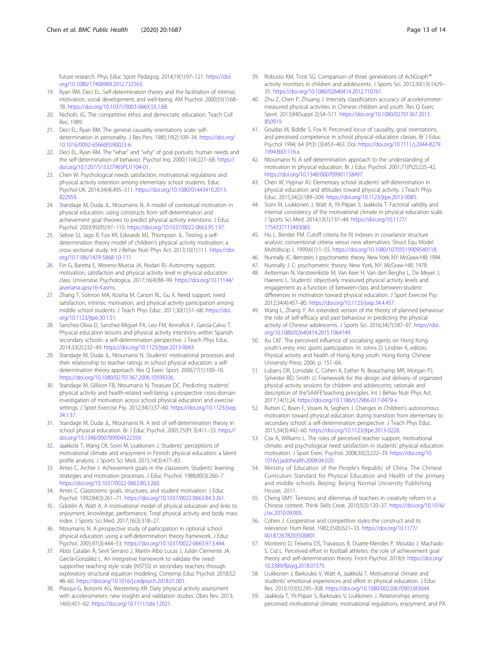<span id="page-12-0"></span>future research. Phys Educ Sport Pedagog. 2014;19(1):97–121. [https://doi.](https://doi.org/10.1080/17408989.2012.732563) [org/10.1080/17408989.2012.732563.](https://doi.org/10.1080/17408989.2012.732563)

- 19. Ryan RM, Deci EL. Self-determination theory and the facilitation of intrinsic motivation, social development, and well-being. AM Psychol. 2000;55(1):68– 78. [https://doi.org/10.1037//0003-066X.55.1.68.](https://doi.org/10.1037//0003-066X.55.1.68)
- 20. Nicholls JG. The competitive ethos and democratic education. Teach Coll Rec. 1989.
- 21. Deci EL, Ryan RM. The general causality orientations scale: selfdetermination in personality. J Res Pers. 1985;19(2):109–34. [https://doi.org/](https://doi.org/10.1016/0092-6566(85)90023-6) [10.1016/0092-6566\(85\)90023-6](https://doi.org/10.1016/0092-6566(85)90023-6).
- 22. Deci EL, Ryan RM. The "what" and "why" of goal pursuits: human needs and the self-determination of behavior. Psychol Inq. 2000;11(4):227–68. [https://](https://doi.org/10.1207/S15327965PLI1104-01) [doi.org/10.1207/S15327965PLI1104-01.](https://doi.org/10.1207/S15327965PLI1104-01)
- 23. Chen W. Psychological needs satisfaction, motivational regulations and physical activity intention among elementary school students. Educ Psychol-UK. 2014;34(4):495–511. [https://doi.org/10.1080/01443410.2013.](https://doi.org/10.1080/01443410.2013.822959) [822959](https://doi.org/10.1080/01443410.2013.822959).
- 24. Standage M, Duda JL, Ntoumanis N. A model of contextual motivation in physical education: using constructs from self-determination and achievement goal theories to predict physical activity intentions. J Educ Psychol. 2003;95(95):97–110. [https://doi.org/10.1037/0022-0663.95.1.97.](https://doi.org/10.1037/0022-0663.95.1.97)
- 25. Sebire SJ, Jago R, Fox KR, Edwards MJ, Thompson JL. Testing a selfdetermination theory model of children's physical activity motivation: a cross-sectional study. Int J Behav Nutr Phys Act. 2013;10(1):111. [https://doi.](https://doi.org/10.1186/1479-5868-10-111) [org/10.1186/1479-5868-10-111.](https://doi.org/10.1186/1479-5868-10-111)
- 26. Fin G, Baretta E, Moreno-Murcia JA, Nodari RJ. Autonomy support, motivation, satisfaction and physical activity level in physical education class. Universitas Psychologica. 2017;16(4):88–99. [https://doi.org/10.11144/](https://doi.org/10.11144/javeriana.upsy16-4.asms) [javeriana.upsy16-4.asms.](https://doi.org/10.11144/javeriana.upsy16-4.asms)
- 27. Zhang T, Solmon MA, Kosma M, Carson RL, Gu X. Need support, need satisfaction, intrinsic motivation, and physical activity participation among middle school students. J Teach Phys Educ. 2011;30(1):51–68. [https://doi.](https://doi.org/10.1123/jtpe.30.1.51) [org/10.1123/jtpe.30.1.51.](https://doi.org/10.1123/jtpe.30.1.51)
- 28. Sanchez-Oliva D, Sanchez-Miguel PA, Leo FM, Kinnafick F, García-Calvo T. Physical education lessons and physical activity intentions within Spanish secondary schools: a self-determination perspective. J Teach Phys Educ. 2014;33(2):232–49. <https://doi.org/10.1123/jtpe.2013-0043>.
- 29. Standage M, Duda JL, Ntoumanis N. Students' motivational processes and their relationship to teacher ratings in school physical education: a selfdetermination theory approach. Res Q Exerc Sport. 2006;77(1):100–10. [https://doi.org/10.1080/02701367.2006.10599336.](https://doi.org/10.1080/02701367.2006.10599336)
- 30. Standage M, Gillison FB, Ntoumanis N, Treasure DC. Predicting students' physical activity and health-related well-being: a prospective cross-domain investigation of motivation across school physical education and exercise settings. J Sport Exercise Psy. 2012;34(1):37–60. [https://doi.org/10.1123/jsep.](https://doi.org/10.1123/jsep.34.1.37) [34.1.37](https://doi.org/10.1123/jsep.34.1.37).
- 31. Standage M, Duda JL, Ntoumanis N. A test of self-determination theory in school physical education. Br J Educ Psychol. 2005;75(Pt 3):411–33. [https://](https://doi.org/10.1348/000709904X22359) [doi.org/10.1348/000709904X22359.](https://doi.org/10.1348/000709904X22359)
- 32. Jaakkola T, Wang CK, Soini M, Liukkonen J. Students' perceptions of motivational climate and enjoyment in Finnish physical education: a latent profile analysis. J Sports Sci Med. 2015;14(3):477–83.
- 33. Ames C, Archer J. Achievement goals in the classroom: Students' learning strategies and motivation processes. J Educ Psychol. 1988;80(3):260–7. <https://doi.org/10.1037/0022-0663.80.3.260>.
- 34. Ames C. Classrooms: goals, structures, and student motivation. J Educ Psychol. 1992;84(3):261–71. [https://doi.org/10.1037/0022-0663.84.3.261.](https://doi.org/10.1037/0022-0663.84.3.261)
- 35. Gråstén A, Watt A. A motivational model of physical education and links to enjoyment, knowledge, performance, Total physical activity and body mass index. J Sports Sci Med. 2017;16(3):318–27.
- 36. Ntoumanis N. A prospective study of participation in optional school physical education using a self-determination theory framework. J Educ Psychol. 2005;97(3):444–53. [https://doi.org/10.1037/0022-0663.97.3.444.](https://doi.org/10.1037/0022-0663.97.3.444)
- 37. Abós Catalán Á, Sevil Serrano J, Martín-Albo Lucas J, Julián Clemente JA, García-González L. An integrative framework to validate the needsupportive teaching style scale (NSTSS) in secondary teachers through exploratory structural equation modeling. Contemp Educ Psychol. 2018;52: 48–60. <https://doi.org/10.1016/j.cedpsych.2018.01.001>.
- 38. Plasqui G, Bonomi AG, Westerterp KR. Daily physical activity assessment with accelerometers: new insights and validation studies. Obes Rev. 2013; 14(6):451–62. [https://doi.org/10.1111/obr.12021.](https://doi.org/10.1111/obr.12021)
- 39. Robusto KM, Trost SG. Comparison of three generations of ActiGraph™ activity monitors in children and adolescents. J Sports Sci. 2012;30(13):1429– 35. [https://doi.org/10.1080/02640414.2012.710761.](https://doi.org/10.1080/02640414.2012.710761)
- 40. Zhu Z, Chen P, Zhuang J. Intensity classification accuracy of accelerometermeasured physical activities in Chinese children and youth. Res Q Exerc Sport. 2013;84(Suppl 2):S4–S11. [https://doi.org/10.1080/02701367.2013.](https://doi.org/10.1080/02701367.2013.850919) [850919](https://doi.org/10.1080/02701367.2013.850919).
- 41. Goudas M, Biddle S, Fox K: Perceived locus of causality, goal orientations, and perceived competence in school physical education classes. Br J Educ Psychol 1994; 64 (Pt3) (3):453–463. Doi: [https://doi.org/10.1111/j.2044-8279.](https://doi.org/10.1111/j.2044-8279.1994.tb01116.x) [1994.tb01116.x.](https://doi.org/10.1111/j.2044-8279.1994.tb01116.x)
- 42. Ntoumanis N. A self-determination approach to the understanding of motivation in physical education. Br J Educ Psychol. 2001;71(Pt2):225–42. <https://doi.org/10.1348/000709901158497>.
- 43. Chen W, Hypnar AJ. Elementary school students' self-determination in physical education and attitudes toward physical activity. J Teach Phys Educ. 2015;34(2):189–209. <https://doi.org/10.1123/jtpe.2013-0085>.
- 44. Soini M, Liukkonen J, Watt A, Yli-Piipari S, Jaakkola T. Factorial validity and internal consistency of the motivational climate in physical education scale. J Sports Sci Med. 2014;13(1):137–44. [https://doi.org/10.1177/](https://doi.org/10.1177/1754337113493083) [1754337113493083](https://doi.org/10.1177/1754337113493083).
- 45. Hu L, Bentler PM. Cutoff criteria for fit indexes in covariance structure analysis: conventional criteria versus new alternatives. Struct Equ Model Multidiscip J. 1999;6(1):1–55. <https://doi.org/10.1080/10705519909540118>.
- 46. Nunnally JC. Bernstein, I: psychometric theory. New York, NY: McGraw-Hill; 1994.
- 47. Nunnally J. C: psychometric theory. New York, NY: McGraw-Hill; 1978.
- 48. Aelterman N, Vansteenkiste M, Van Keer H, Van den Berghe L, De Meyer J, Haerens L. Students' objectively measured physical activity levels and engagement as a function of between-class and between-student differences in motivation toward physical education. J Sport Exercise Psy. 2012;34(4):457–80. <https://doi.org/10.1123/jsep.34.4.457>.
- 49. Wang L, Zhang Y. An extended version of the theory of planned behaviour: the role of self-efficacy and past behaviour in predicting the physical activity of Chinese adolescents. J Sports Sci. 2016;34(7):587–97. [https://doi.](https://doi.org/10.1080/02640414.2015.1064149) [org/10.1080/02640414.2015.1064149](https://doi.org/10.1080/02640414.2015.1064149).
- 50. Au CKF. The perceived influence of socialising agents on Hong Kong youth's entry into sports participation. In: Johns D, Lindner K, editors. Physical activity and health of Hong Kong youth. Hong Kong: Chinese University Press; 2006. p. 151–66.
- 51. Lubans DR, Lonsdale C, Cohen K, Eather N, Beauchamp MR, Morgan PJ, Sylvester BD, Smith JJ. Framework for the design and delivery of organized physical activity sessions for children and adolescents: rationale and description of the'SAAFE'teaching principles. Int J Behav Nutr Phys Act. 2017;14(1):24. [https://doi.org/10.1186/s12966-017-0479-x.](https://doi.org/10.1186/s12966-017-0479-x)
- 52. Rutten C, Boen F, Vissers N, Seghers J. Changes in Children's autonomous motivation toward physical education during transition from elementary to secondary school: a self-determination perspective. J Teach Phys Educ. 2015;34(3):442–60. <https://doi.org/10.1123/jtpe.2013-0228>.
- 53. Cox A, Williams L. The roles of perceived teacher support, motivational climate, and psychological need satisfaction in students' physical education motivation. J Sport Exerc Psychol. 2008;30(2):222–39. [https://doi.org/10.](https://doi.org/10.1016/j.jadohealth.2008.04.020) [1016/j.jadohealth.2008.04.020.](https://doi.org/10.1016/j.jadohealth.2008.04.020)
- 54. Ministry of Education of the People's Republic of China. The Chinese Curriculum Standard for Physical Education and Health of the primary and middle schools. Beijing: Beijing Normal University Publishing House; 2011.
- 55. Cheng VMY. Tensions and dilemmas of teachers in creativity reform in a Chinese context. Think Skills Creat. 2010;5(3):120–37. [https://doi.org/10.1016/](https://doi.org/10.1016/j.tsc.2010.09.005) [j.tsc.2010.09.005.](https://doi.org/10.1016/j.tsc.2010.09.005)
- 56. Cohen J. Cooperative and competitive styles-the construct and its relevance. Hum Relat. 1982;35(8):621–33. [https://doi.org/10.1177/](https://doi.org/10.1177/001872678203500801) [001872678203500801](https://doi.org/10.1177/001872678203500801).
- 57. Monteiro D, Teixeira DS, Travassos B, Duarte-Mendes P, Moutão J, Machado S, Cid L. Perceived effort in football athletes: the role of achievement goal theory and self-determination theory. Front Psychol. 2018;9. [https://doi.org/](https://doi.org/10.3389/fpsyg.2018.01575) [10.3389/fpsyg.2018.01575](https://doi.org/10.3389/fpsyg.2018.01575).
- 58. Liukkonen J, Barkoukis V, Watt A, Jaakkola T. Motivational climate and students' emotional experiences and effort in physical education. J Educ Res. 2010;103(5):295–308. [https://doi.org/10.1080/00220670903383044.](https://doi.org/10.1080/00220670903383044)
- 59. Jaakkola T, Yli-Piipari S, Barkoukis V, Liukkonen J. Relationships among perceived motivational climate, motivational regulations, enjoyment, and PA